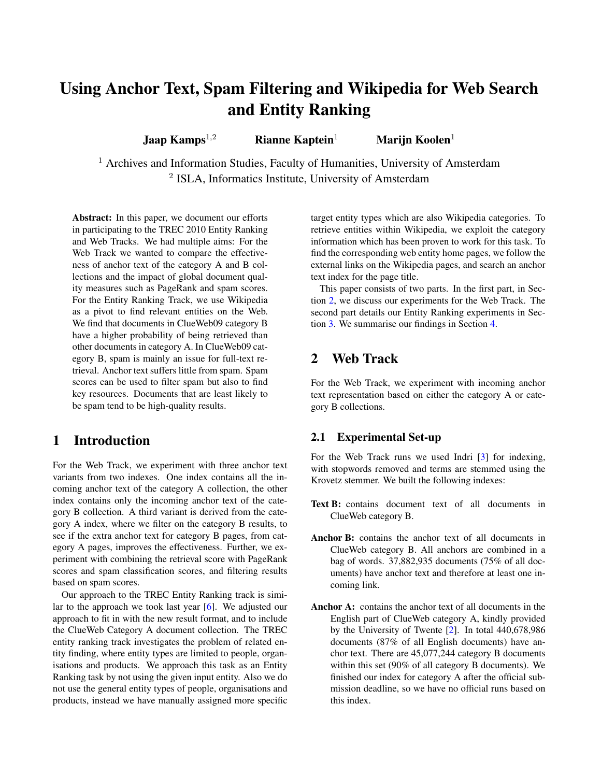# Using Anchor Text, Spam Filtering and Wikipedia for Web Search and Entity Ranking

Jaap Kamps<sup>1,2</sup> Rianne Kaptein<sup>1</sup> Marijn Koolen<sup>1</sup>

<sup>1</sup> Archives and Information Studies, Faculty of Humanities, University of Amsterdam <sup>2</sup> ISLA, Informatics Institute, University of Amsterdam

Abstract: In this paper, we document our efforts in participating to the TREC 2010 Entity Ranking and Web Tracks. We had multiple aims: For the Web Track we wanted to compare the effectiveness of anchor text of the category A and B collections and the impact of global document quality measures such as PageRank and spam scores. For the Entity Ranking Track, we use Wikipedia as a pivot to find relevant entities on the Web. We find that documents in ClueWeb09 category B have a higher probability of being retrieved than other documents in category A. In ClueWeb09 category B, spam is mainly an issue for full-text retrieval. Anchor text suffers little from spam. Spam scores can be used to filter spam but also to find key resources. Documents that are least likely to be spam tend to be high-quality results.

### 1 Introduction

For the Web Track, we experiment with three anchor text variants from two indexes. One index contains all the incoming anchor text of the category A collection, the other index contains only the incoming anchor text of the category B collection. A third variant is derived from the category A index, where we filter on the category B results, to see if the extra anchor text for category B pages, from category A pages, improves the effectiveness. Further, we experiment with combining the retrieval score with PageRank scores and spam classification scores, and filtering results based on spam scores.

Our approach to the TREC Entity Ranking track is similar to the approach we took last year [\[6\]](#page-6-0). We adjusted our approach to fit in with the new result format, and to include the ClueWeb Category A document collection. The TREC entity ranking track investigates the problem of related entity finding, where entity types are limited to people, organisations and products. We approach this task as an Entity Ranking task by not using the given input entity. Also we do not use the general entity types of people, organisations and products, instead we have manually assigned more specific target entity types which are also Wikipedia categories. To retrieve entities within Wikipedia, we exploit the category information which has been proven to work for this task. To find the corresponding web entity home pages, we follow the external links on the Wikipedia pages, and search an anchor text index for the page title.

This paper consists of two parts. In the first part, in Section [2,](#page-0-0) we discuss our experiments for the Web Track. The second part details our Entity Ranking experiments in Section [3.](#page-4-0) We summarise our findings in Section [4.](#page-5-0)

## <span id="page-0-0"></span>2 Web Track

For the Web Track, we experiment with incoming anchor text representation based on either the category A or category B collections.

### 2.1 Experimental Set-up

For the Web Track runs we used Indri [\[3\]](#page-5-1) for indexing, with stopwords removed and terms are stemmed using the Krovetz stemmer. We built the following indexes:

- Text B: contains document text of all documents in ClueWeb category B.
- Anchor B: contains the anchor text of all documents in ClueWeb category B. All anchors are combined in a bag of words. 37,882,935 documents (75% of all documents) have anchor text and therefore at least one incoming link.
- Anchor A: contains the anchor text of all documents in the English part of ClueWeb category A, kindly provided by the University of Twente [\[2\]](#page-5-2). In total 440,678,986 documents (87% of all English documents) have anchor text. There are 45,077,244 category B documents within this set (90% of all category B documents). We finished our index for category A after the official submission deadline, so we have no official runs based on this index.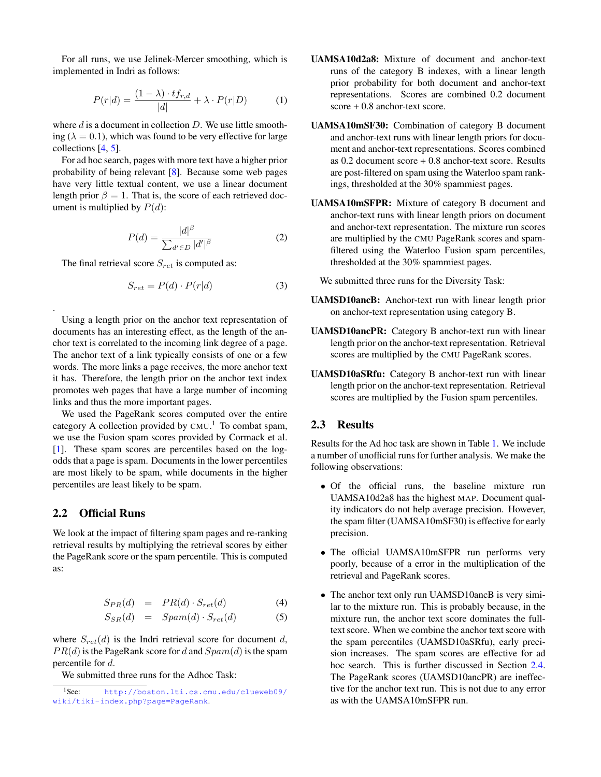For all runs, we use Jelinek-Mercer smoothing, which is implemented in Indri as follows:

$$
P(r|d) = \frac{(1 - \lambda) \cdot tf_{r,d}}{|d|} + \lambda \cdot P(r|D)
$$
 (1)

where  $d$  is a document in collection  $D$ . We use little smoothing ( $\lambda = 0.1$ ), which was found to be very effective for large collections [\[4,](#page-5-3) [5\]](#page-5-4).

For ad hoc search, pages with more text have a higher prior probability of being relevant [\[8\]](#page-6-1). Because some web pages have very little textual content, we use a linear document length prior  $\beta = 1$ . That is, the score of each retrieved document is multiplied by  $P(d)$ :

$$
P(d) = \frac{|d|^{\beta}}{\sum_{d' \in D} |d'|^{\beta}} \tag{2}
$$

The final retrieval score  $S_{ret}$  is computed as:

$$
S_{ret} = P(d) \cdot P(r|d)
$$
 (3)

Using a length prior on the anchor text representation of documents has an interesting effect, as the length of the anchor text is correlated to the incoming link degree of a page. The anchor text of a link typically consists of one or a few words. The more links a page receives, the more anchor text it has. Therefore, the length prior on the anchor text index promotes web pages that have a large number of incoming links and thus the more important pages.

We used the PageRank scores computed over the entire category A collection provided by  $CMU<sup>1</sup>$ . To combat spam, we use the Fusion spam scores provided by Cormack et al. [\[1\]](#page-5-5). These spam scores are percentiles based on the logodds that a page is spam. Documents in the lower percentiles are most likely to be spam, while documents in the higher percentiles are least likely to be spam.

#### 2.2 Official Runs

.

We look at the impact of filtering spam pages and re-ranking retrieval results by multiplying the retrieval scores by either the PageRank score or the spam percentile. This is computed as:

$$
S_{PR}(d) = PR(d) \cdot S_{ret}(d) \tag{4}
$$

$$
S_{SR}(d) = Span(d) \cdot S_{ret}(d) \tag{5}
$$

where  $S_{ret}(d)$  is the Indri retrieval score for document d,  $PR(d)$  is the PageRank score for d and  $Spam(d)$  is the spam percentile for d.

We submitted three runs for the Adhoc Task:

- UAMSA10d2a8: Mixture of document and anchor-text runs of the category B indexes, with a linear length prior probability for both document and anchor-text representations. Scores are combined 0.2 document score + 0.8 anchor-text score.
- UAMSA10mSF30: Combination of category B document and anchor-text runs with linear length priors for document and anchor-text representations. Scores combined as 0.2 document score + 0.8 anchor-text score. Results are post-filtered on spam using the Waterloo spam rankings, thresholded at the 30% spammiest pages.
- UAMSA10mSFPR: Mixture of category B document and anchor-text runs with linear length priors on document and anchor-text representation. The mixture run scores are multiplied by the CMU PageRank scores and spamfiltered using the Waterloo Fusion spam percentiles, thresholded at the 30% spammiest pages.

We submitted three runs for the Diversity Task:

- UAMSD10ancB: Anchor-text run with linear length prior on anchor-text representation using category B.
- UAMSD10ancPR: Category B anchor-text run with linear length prior on the anchor-text representation. Retrieval scores are multiplied by the CMU PageRank scores.
- UAMSD10aSRfu: Category B anchor-text run with linear length prior on the anchor-text representation. Retrieval scores are multiplied by the Fusion spam percentiles.

#### 2.3 Results

Results for the Ad hoc task are shown in Table [1.](#page-2-0) We include a number of unofficial runs for further analysis. We make the following observations:

- Of the official runs, the baseline mixture run UAMSA10d2a8 has the highest MAP. Document quality indicators do not help average precision. However, the spam filter (UAMSA10mSF30) is effective for early precision.
- The official UAMSA10mSFPR run performs very poorly, because of a error in the multiplication of the retrieval and PageRank scores.
- The anchor text only run UAMSD10ancB is very similar to the mixture run. This is probably because, in the mixture run, the anchor text score dominates the fulltext score. When we combine the anchor text score with the spam percentiles (UAMSD10aSRfu), early precision increases. The spam scores are effective for ad hoc search. This is further discussed in Section [2.4.](#page-2-1) The PageRank scores (UAMSD10ancPR) are ineffective for the anchor text run. This is not due to any error as with the UAMSA10mSFPR run.

<sup>1</sup>See: [http://boston.lti.cs.cmu.edu/clueweb09/](http://boston.lti.cs.cmu.edu/clueweb09/wiki/tiki-index.php?page=PageRank) [wiki/tiki-index.php?page=PageRank](http://boston.lti.cs.cmu.edu/clueweb09/wiki/tiki-index.php?page=PageRank).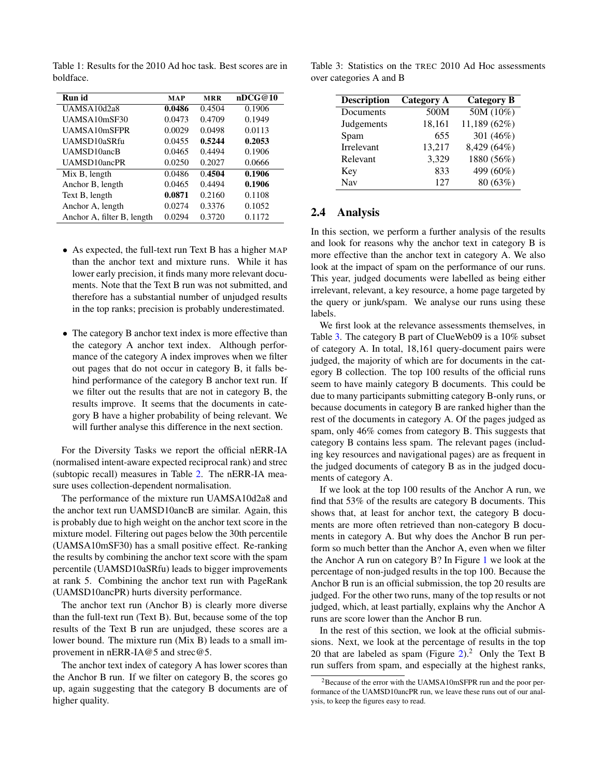| Run id                     | <b>MAP</b> | <b>MRR</b> | nDCG@10 |
|----------------------------|------------|------------|---------|
| UAMSA10d2a8                | 0.0486     | 0.4504     | 0.1906  |
| UAMSA10mSF30               | 0.0473     | 0.4709     | 0.1949  |
| UAMSA10mSFPR               | 0.0029     | 0.0498     | 0.0113  |
| UAMSD10aSRfu               | 0.0455     | 0.5244     | 0.2053  |
| UAMSD10ancB                | 0.0465     | 0.4494     | 0.1906  |
| UAMSD10ancPR               | 0.0250     | 0.2027     | 0.0666  |
| Mix B, length              | 0.0486     | 0.4504     | 0.1906  |
| Anchor B, length           | 0.0465     | 0.4494     | 0.1906  |
| Text B, length             | 0.0871     | 0.2160     | 0.1108  |
| Anchor A, length           | 0.0274     | 0.3376     | 0.1052  |
| Anchor A, filter B, length | 0.0294     | 0.3720     | 0.1172  |

<span id="page-2-0"></span>Table 1: Results for the 2010 Ad hoc task. Best scores are in boldface.

- As expected, the full-text run Text B has a higher MAP than the anchor text and mixture runs. While it has lower early precision, it finds many more relevant documents. Note that the Text B run was not submitted, and therefore has a substantial number of unjudged results in the top ranks; precision is probably underestimated.
- The category B anchor text index is more effective than the category A anchor text index. Although performance of the category A index improves when we filter out pages that do not occur in category B, it falls behind performance of the category B anchor text run. If we filter out the results that are not in category B, the results improve. It seems that the documents in category B have a higher probability of being relevant. We will further analyse this difference in the next section.

For the Diversity Tasks we report the official nERR-IA (normalised intent-aware expected reciprocal rank) and strec (subtopic recall) measures in Table [2.](#page-3-0) The nERR-IA measure uses collection-dependent normalisation.

The performance of the mixture run UAMSA10d2a8 and the anchor text run UAMSD10ancB are similar. Again, this is probably due to high weight on the anchor text score in the mixture model. Filtering out pages below the 30th percentile (UAMSA10mSF30) has a small positive effect. Re-ranking the results by combining the anchor text score with the spam percentile (UAMSD10aSRfu) leads to bigger improvements at rank 5. Combining the anchor text run with PageRank (UAMSD10ancPR) hurts diversity performance.

The anchor text run (Anchor B) is clearly more diverse than the full-text run (Text B). But, because some of the top results of the Text B run are unjudged, these scores are a lower bound. The mixture run (Mix B) leads to a small improvement in nERR-IA@5 and strec@5.

The anchor text index of category A has lower scores than the Anchor B run. If we filter on category B, the scores go up, again suggesting that the category B documents are of higher quality.

<span id="page-2-2"></span>Table 3: Statistics on the TREC 2010 Ad Hoc assessments over categories A and B

| <b>Description</b> | <b>Category A</b> | <b>Category B</b> |
|--------------------|-------------------|-------------------|
| Documents          | 500M              | 50M(10%)          |
| Judgements         | 18,161            | 11,189 (62%)      |
| Spam               | 655               | 301 (46%)         |
| Irrelevant         | 13,217            | 8,429 (64%)       |
| Relevant           | 3,329             | 1880 (56%)        |
| Key                | 833               | 499 (60%)         |
| <b>Nav</b>         | 127               | 80 (63%)          |

#### <span id="page-2-1"></span>2.4 Analysis

In this section, we perform a further analysis of the results and look for reasons why the anchor text in category B is more effective than the anchor text in category A. We also look at the impact of spam on the performance of our runs. This year, judged documents were labelled as being either irrelevant, relevant, a key resource, a home page targeted by the query or junk/spam. We analyse our runs using these labels.

We first look at the relevance assessments themselves, in Table [3.](#page-2-2) The category B part of ClueWeb09 is a 10% subset of category A. In total, 18,161 query-document pairs were judged, the majority of which are for documents in the category B collection. The top 100 results of the official runs seem to have mainly category B documents. This could be due to many participants submitting category B-only runs, or because documents in category B are ranked higher than the rest of the documents in category A. Of the pages judged as spam, only 46% comes from category B. This suggests that category B contains less spam. The relevant pages (including key resources and navigational pages) are as frequent in the judged documents of category B as in the judged documents of category A.

If we look at the top 100 results of the Anchor A run, we find that 53% of the results are category B documents. This shows that, at least for anchor text, the category B documents are more often retrieved than non-category B documents in category A. But why does the Anchor B run perform so much better than the Anchor A, even when we filter the Anchor A run on category B? In Figure [1](#page-3-1) we look at the percentage of non-judged results in the top 100. Because the Anchor B run is an official submission, the top 20 results are judged. For the other two runs, many of the top results or not judged, which, at least partially, explains why the Anchor A runs are score lower than the Anchor B run.

In the rest of this section, we look at the official submissions. Next, we look at the percentage of results in the top 20 that are labeled as spam (Figure  $2^2$ ). Only the Text B run suffers from spam, and especially at the highest ranks,

<sup>2</sup>Because of the error with the UAMSA10mSFPR run and the poor performance of the UAMSD10ancPR run, we leave these runs out of our analysis, to keep the figures easy to read.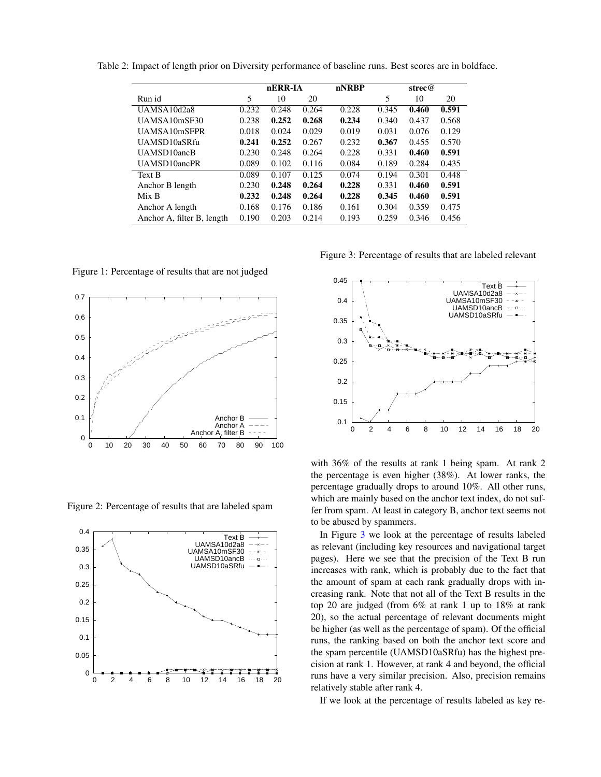<span id="page-3-0"></span>

|                            |       | nERR-IA |       | nNRBP | strec@ |       |       |
|----------------------------|-------|---------|-------|-------|--------|-------|-------|
| Run id                     | 5     | 10      | 20    |       | 5      | 10    | 20    |
| UAMSA10d2a8                | 0.232 | 0.248   | 0.264 | 0.228 | 0.345  | 0.460 | 0.591 |
| UAMSA10mSF30               | 0.238 | 0.252   | 0.268 | 0.234 | 0.340  | 0.437 | 0.568 |
| UAMSA10mSFPR               | 0.018 | 0.024   | 0.029 | 0.019 | 0.031  | 0.076 | 0.129 |
| UAMSD10aSRfu               | 0.241 | 0.252   | 0.267 | 0.232 | 0.367  | 0.455 | 0.570 |
| UAMSD10ancB                | 0.230 | 0.248   | 0.264 | 0.228 | 0.331  | 0.460 | 0.591 |
| UAMSD10ancPR               | 0.089 | 0.102   | 0.116 | 0.084 | 0.189  | 0.284 | 0.435 |
| Text B                     | 0.089 | 0.107   | 0.125 | 0.074 | 0.194  | 0.301 | 0.448 |
| Anchor B length            | 0.230 | 0.248   | 0.264 | 0.228 | 0.331  | 0.460 | 0.591 |
| Mix B                      | 0.232 | 0.248   | 0.264 | 0.228 | 0.345  | 0.460 | 0.591 |
| Anchor A length            | 0.168 | 0.176   | 0.186 | 0.161 | 0.304  | 0.359 | 0.475 |
| Anchor A, filter B, length | 0.190 | 0.203   | 0.214 | 0.193 | 0.259  | 0.346 | 0.456 |

Table 2: Impact of length prior on Diversity performance of baseline runs. Best scores are in boldface.

<span id="page-3-1"></span>Figure 1: Percentage of results that are not judged



<span id="page-3-2"></span>Figure 2: Percentage of results that are labeled spam



<span id="page-3-3"></span>Figure 3: Percentage of results that are labeled relevant



with 36% of the results at rank 1 being spam. At rank 2 the percentage is even higher (38%). At lower ranks, the percentage gradually drops to around 10%. All other runs, which are mainly based on the anchor text index, do not suffer from spam. At least in category B, anchor text seems not to be abused by spammers.

In Figure [3](#page-3-3) we look at the percentage of results labeled as relevant (including key resources and navigational target pages). Here we see that the precision of the Text B run increases with rank, which is probably due to the fact that the amount of spam at each rank gradually drops with increasing rank. Note that not all of the Text B results in the top 20 are judged (from 6% at rank 1 up to 18% at rank 20), so the actual percentage of relevant documents might be higher (as well as the percentage of spam). Of the official runs, the ranking based on both the anchor text score and the spam percentile (UAMSD10aSRfu) has the highest precision at rank 1. However, at rank 4 and beyond, the official runs have a very similar precision. Also, precision remains relatively stable after rank 4.

If we look at the percentage of results labeled as key re-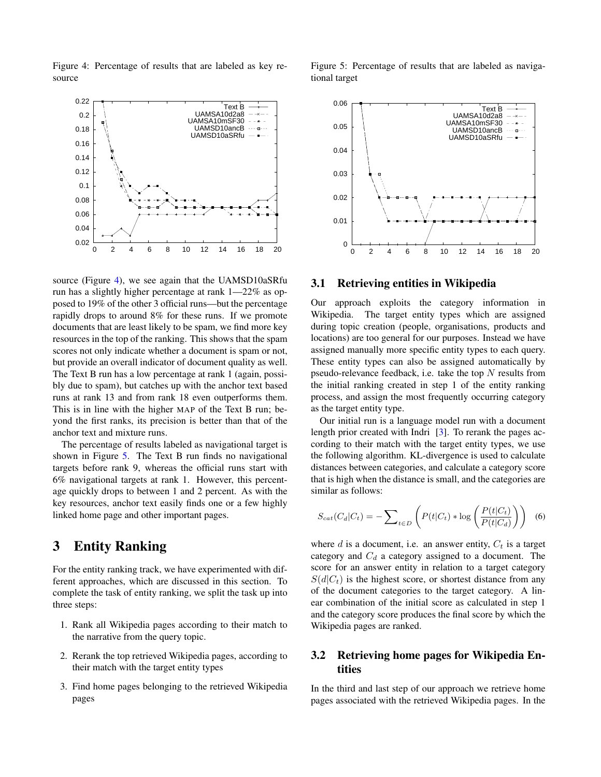<span id="page-4-1"></span>Figure 4: Percentage of results that are labeled as key resource



source (Figure [4\)](#page-4-1), we see again that the UAMSD10aSRfu run has a slightly higher percentage at rank 1—22% as opposed to 19% of the other 3 official runs—but the percentage rapidly drops to around 8% for these runs. If we promote documents that are least likely to be spam, we find more key resources in the top of the ranking. This shows that the spam scores not only indicate whether a document is spam or not, but provide an overall indicator of document quality as well. The Text B run has a low percentage at rank 1 (again, possibly due to spam), but catches up with the anchor text based runs at rank 13 and from rank 18 even outperforms them. This is in line with the higher MAP of the Text B run; beyond the first ranks, its precision is better than that of the anchor text and mixture runs.

The percentage of results labeled as navigational target is shown in Figure [5.](#page-4-2) The Text B run finds no navigational targets before rank 9, whereas the official runs start with 6% navigational targets at rank 1. However, this percentage quickly drops to between 1 and 2 percent. As with the key resources, anchor text easily finds one or a few highly linked home page and other important pages.

## <span id="page-4-0"></span>3 Entity Ranking

For the entity ranking track, we have experimented with different approaches, which are discussed in this section. To complete the task of entity ranking, we split the task up into three steps:

- 1. Rank all Wikipedia pages according to their match to the narrative from the query topic.
- 2. Rerank the top retrieved Wikipedia pages, according to their match with the target entity types
- 3. Find home pages belonging to the retrieved Wikipedia pages



<span id="page-4-2"></span>

#### 3.1 Retrieving entities in Wikipedia

Our approach exploits the category information in Wikipedia. The target entity types which are assigned during topic creation (people, organisations, products and locations) are too general for our purposes. Instead we have assigned manually more specific entity types to each query. These entity types can also be assigned automatically by pseudo-relevance feedback, i.e. take the top  $N$  results from the initial ranking created in step 1 of the entity ranking process, and assign the most frequently occurring category as the target entity type.

Our initial run is a language model run with a document length prior created with Indri [\[3\]](#page-5-1). To rerank the pages according to their match with the target entity types, we use the following algorithm. KL-divergence is used to calculate distances between categories, and calculate a category score that is high when the distance is small, and the categories are similar as follows:

$$
S_{cat}(C_d|C_t) = -\sum_{t \in D} \left( P(t|C_t) * \log \left( \frac{P(t|C_t)}{P(t|C_d)} \right) \right) \tag{6}
$$

where  $d$  is a document, i.e. an answer entity,  $C_t$  is a target category and  $C_d$  a category assigned to a document. The score for an answer entity in relation to a target category  $S(d|C_t)$  is the highest score, or shortest distance from any of the document categories to the target category. A linear combination of the initial score as calculated in step 1 and the category score produces the final score by which the Wikipedia pages are ranked.

### 3.2 Retrieving home pages for Wikipedia Entities

In the third and last step of our approach we retrieve home pages associated with the retrieved Wikipedia pages. In the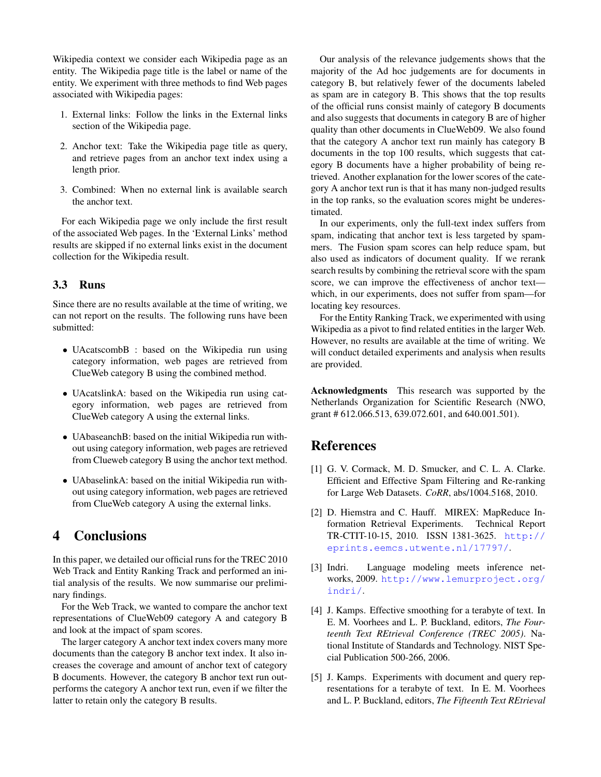Wikipedia context we consider each Wikipedia page as an entity. The Wikipedia page title is the label or name of the entity. We experiment with three methods to find Web pages associated with Wikipedia pages:

- 1. External links: Follow the links in the External links section of the Wikipedia page.
- 2. Anchor text: Take the Wikipedia page title as query, and retrieve pages from an anchor text index using a length prior.
- 3. Combined: When no external link is available search the anchor text.

For each Wikipedia page we only include the first result of the associated Web pages. In the 'External Links' method results are skipped if no external links exist in the document collection for the Wikipedia result.

#### 3.3 Runs

Since there are no results available at the time of writing, we can not report on the results. The following runs have been submitted:

- UAcatscombB : based on the Wikipedia run using category information, web pages are retrieved from ClueWeb category B using the combined method.
- UAcatslinkA: based on the Wikipedia run using category information, web pages are retrieved from ClueWeb category A using the external links.
- UAbaseanchB: based on the initial Wikipedia run without using category information, web pages are retrieved from Clueweb category B using the anchor text method.
- UAbaselinkA: based on the initial Wikipedia run without using category information, web pages are retrieved from ClueWeb category A using the external links.

# <span id="page-5-0"></span>4 Conclusions

In this paper, we detailed our official runs for the TREC 2010 Web Track and Entity Ranking Track and performed an initial analysis of the results. We now summarise our preliminary findings.

For the Web Track, we wanted to compare the anchor text representations of ClueWeb09 category A and category B and look at the impact of spam scores.

The larger category A anchor text index covers many more documents than the category B anchor text index. It also increases the coverage and amount of anchor text of category B documents. However, the category B anchor text run outperforms the category A anchor text run, even if we filter the latter to retain only the category B results.

Our analysis of the relevance judgements shows that the majority of the Ad hoc judgements are for documents in category B, but relatively fewer of the documents labeled as spam are in category B. This shows that the top results of the official runs consist mainly of category B documents and also suggests that documents in category B are of higher quality than other documents in ClueWeb09. We also found that the category A anchor text run mainly has category B documents in the top 100 results, which suggests that category B documents have a higher probability of being retrieved. Another explanation for the lower scores of the category A anchor text run is that it has many non-judged results in the top ranks, so the evaluation scores might be underestimated.

In our experiments, only the full-text index suffers from spam, indicating that anchor text is less targeted by spammers. The Fusion spam scores can help reduce spam, but also used as indicators of document quality. If we rerank search results by combining the retrieval score with the spam score, we can improve the effectiveness of anchor text which, in our experiments, does not suffer from spam—for locating key resources.

For the Entity Ranking Track, we experimented with using Wikipedia as a pivot to find related entities in the larger Web. However, no results are available at the time of writing. We will conduct detailed experiments and analysis when results are provided.

Acknowledgments This research was supported by the Netherlands Organization for Scientific Research (NWO, grant # 612.066.513, 639.072.601, and 640.001.501).

### **References**

- <span id="page-5-5"></span>[1] G. V. Cormack, M. D. Smucker, and C. L. A. Clarke. Efficient and Effective Spam Filtering and Re-ranking for Large Web Datasets. *CoRR*, abs/1004.5168, 2010.
- <span id="page-5-2"></span>[2] D. Hiemstra and C. Hauff. MIREX: MapReduce Information Retrieval Experiments. Technical Report TR-CTIT-10-15, 2010. ISSN 1381-3625. [http://](http://eprints.eemcs.utwente.nl/17797/) [eprints.eemcs.utwente.nl/17797/](http://eprints.eemcs.utwente.nl/17797/).
- <span id="page-5-1"></span>[3] Indri. Language modeling meets inference networks, 2009. [http://www.lemurproject.org/](http://www.lemurproject.org/indri/) [indri/](http://www.lemurproject.org/indri/).
- <span id="page-5-3"></span>[4] J. Kamps. Effective smoothing for a terabyte of text. In E. M. Voorhees and L. P. Buckland, editors, *The Fourteenth Text REtrieval Conference (TREC 2005)*. National Institute of Standards and Technology. NIST Special Publication 500-266, 2006.
- <span id="page-5-4"></span>[5] J. Kamps. Experiments with document and query representations for a terabyte of text. In E. M. Voorhees and L. P. Buckland, editors, *The Fifteenth Text REtrieval*